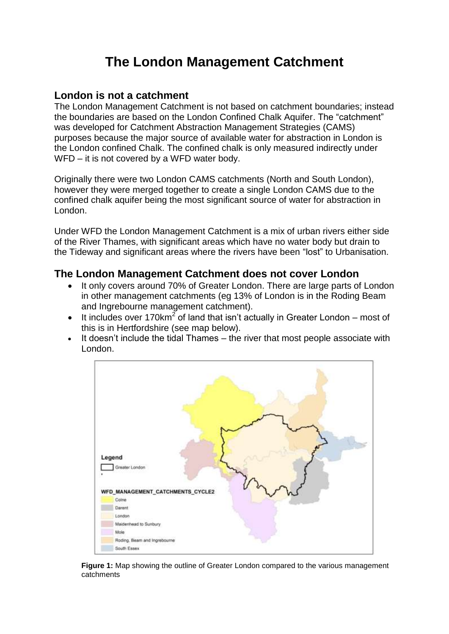# **The London Management Catchment**

#### **London is not a catchment**

The London Management Catchment is not based on catchment boundaries; instead the boundaries are based on the London Confined Chalk Aquifer. The "catchment" was developed for Catchment Abstraction Management Strategies (CAMS) purposes because the major source of available water for abstraction in London is the London confined Chalk. The confined chalk is only measured indirectly under WFD – it is not covered by a WFD water body.

Originally there were two London CAMS catchments (North and South London), however they were merged together to create a single London CAMS due to the confined chalk aquifer being the most significant source of water for abstraction in London.

Under WFD the London Management Catchment is a mix of urban rivers either side of the River Thames, with significant areas which have no water body but drain to the Tideway and significant areas where the rivers have been ["lost"](http://www.londonslostrivers.com/londons-lost-rivers.html) to Urbanisation.

### **The London Management Catchment does not cover London**

- It only covers around 70% of Greater London. There are large parts of London in other management catchments (eg 13% of London is in the Roding Beam and Ingrebourne management catchment).
- It includes over 170km<sup>2</sup> of land that isn't actually in Greater London most of this is in Hertfordshire (see map below).
- It doesn't include the tidal Thames the river that most people associate with London.



**Figure 1:** Map showing the outline of Greater London compared to the various management catchments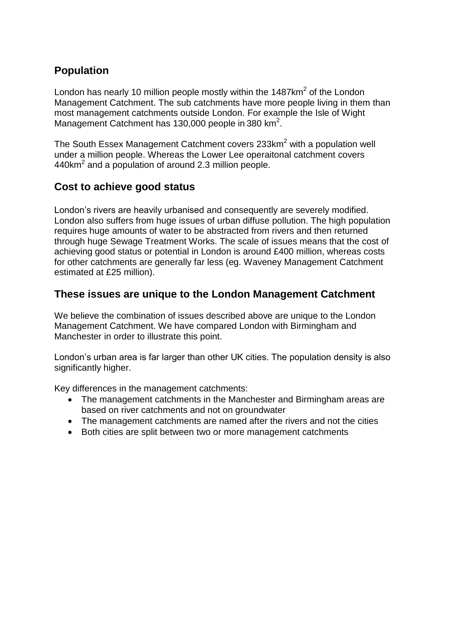# **Population**

London has nearly 10 million people mostly within the 1487 $km^2$  of the London Management Catchment. The sub catchments have more people living in them than most management catchments outside London. For example the Isle of Wight Management Catchment has 130,000 people in 380 km<sup>2</sup>.

The South Essex Management Catchment covers 233km<sup>2</sup> with a population well under a million people. Whereas the Lower Lee operaitonal catchment covers 440km<sup>2</sup> and a population of around 2.3 million people.

# **Cost to achieve good status**

London's rivers are heavily urbanised and consequently are severely modified. London also suffers from huge issues of urban diffuse pollution. The high population requires huge amounts of water to be abstracted from rivers and then returned through huge Sewage Treatment Works. The scale of issues means that the cost of achieving good status or potential in London is around £400 million, whereas costs for other catchments are generally far less (eg. Waveney Management Catchment estimated at £25 million).

# **These issues are unique to the London Management Catchment**

We believe the combination of issues described above are unique to the London Management Catchment. We have compared London with Birmingham and Manchester in order to illustrate this point.

London's urban area is far larger than other UK cities. The population density is also significantly higher.

Key differences in the management catchments:

- The management catchments in the Manchester and Birmingham areas are based on river catchments and not on groundwater
- The management catchments are named after the rivers and not the cities
- Both cities are split between two or more management catchments